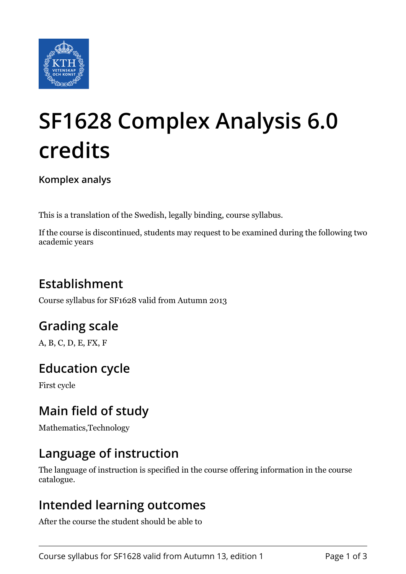

# **SF1628 Complex Analysis 6.0 credits**

**Komplex analys**

This is a translation of the Swedish, legally binding, course syllabus.

If the course is discontinued, students may request to be examined during the following two academic years

# **Establishment**

Course syllabus for SF1628 valid from Autumn 2013

## **Grading scale**

A, B, C, D, E, FX, F

## **Education cycle**

First cycle

## **Main field of study**

Mathematics,Technology

## **Language of instruction**

The language of instruction is specified in the course offering information in the course catalogue.

#### **Intended learning outcomes**

After the course the student should be able to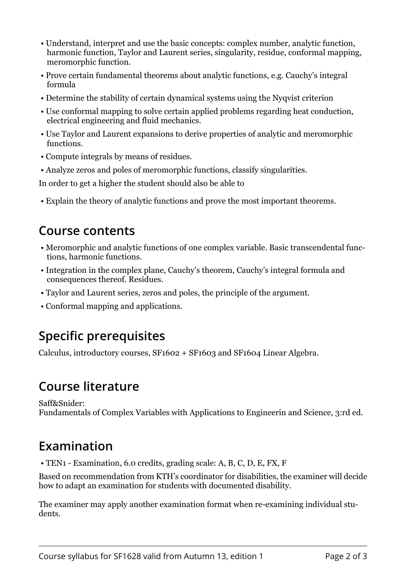- Understand, interpret and use the basic concepts: complex number, analytic function, harmonic function, Taylor and Laurent series, singularity, residue, conformal mapping, meromorphic function.
- Prove certain fundamental theorems about analytic functions, e.g. Cauchy's integral formula
- Determine the stability of certain dynamical systems using the Nyqvist criterion
- Use conformal mapping to solve certain applied problems regarding heat conduction, electrical engineering and fluid mechanics.
- Use Taylor and Laurent expansions to derive properties of analytic and meromorphic functions.
- Compute integrals by means of residues.
- Analyze zeros and poles of meromorphic functions, classify singularities.

In order to get a higher the student should also be able to

• Explain the theory of analytic functions and prove the most important theorems.

#### **Course contents**

- Meromorphic and analytic functions of one complex variable. Basic transcendental functions, harmonic functions.
- Integration in the complex plane, Cauchy's theorem, Cauchy's integral formula and consequences thereof. Residues.
- Taylor and Laurent series, zeros and poles, the principle of the argument.
- Conformal mapping and applications.

## **Specific prerequisites**

Calculus, introductory courses, SF1602 + SF1603 and SF1604 Linear Algebra.

#### **Course literature**

Saff&Snider: Fundamentals of Complex Variables with Applications to Engineerin and Science, 3:rd ed.

## **Examination**

• TEN1 - Examination, 6.0 credits, grading scale: A, B, C, D, E, FX, F

Based on recommendation from KTH's coordinator for disabilities, the examiner will decide how to adapt an examination for students with documented disability.

The examiner may apply another examination format when re-examining individual students.